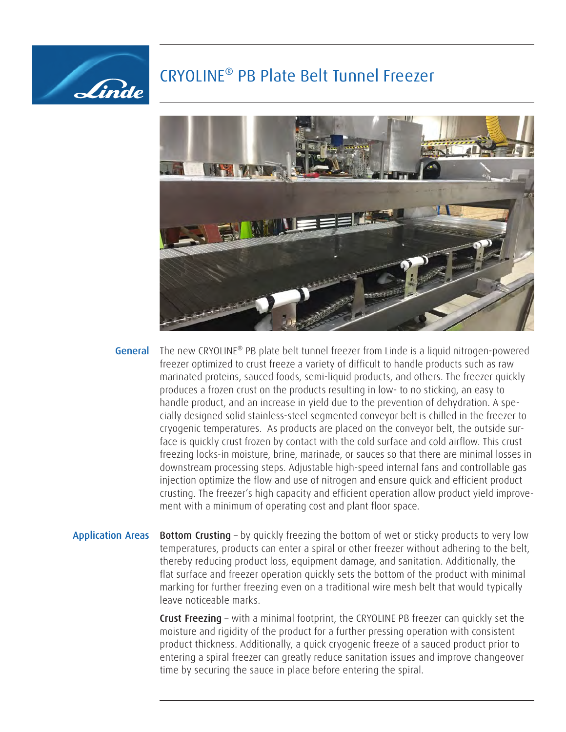## CRYOLINE® PB Plate Belt Tunnel Freezer

Linde



- The new CRYOLINE® PB plate belt tunnel freezer from Linde is a liquid nitrogen-powered freezer optimized to crust freeze a variety of difficult to handle products such as raw marinated proteins, sauced foods, semi-liquid products, and others. The freezer quickly produces a frozen crust on the products resulting in low- to no sticking, an easy to handle product, and an increase in yield due to the prevention of dehydration. A specially designed solid stainless-steel segmented conveyor belt is chilled in the freezer to cryogenic temperatures. As products are placed on the conveyor belt, the outside surface is quickly crust frozen by contact with the cold surface and cold airflow. This crust freezing locks-in moisture, brine, marinade, or sauces so that there are minimal losses in downstream processing steps. Adjustable high-speed internal fans and controllable gas injection optimize the flow and use of nitrogen and ensure quick and efficient product crusting. The freezer's high capacity and efficient operation allow product yield improvement with a minimum of operating cost and plant floor space. General
- Application Areas Bottom Crusting by quickly freezing the bottom of wet or sticky products to very low temperatures, products can enter a spiral or other freezer without adhering to the belt, thereby reducing product loss, equipment damage, and sanitation. Additionally, the flat surface and freezer operation quickly sets the bottom of the product with minimal marking for further freezing even on a traditional wire mesh belt that would typically leave noticeable marks.

Crust Freezing – with a minimal footprint, the CRYOLINE PB freezer can quickly set the moisture and rigidity of the product for a further pressing operation with consistent product thickness. Additionally, a quick cryogenic freeze of a sauced product prior to entering a spiral freezer can greatly reduce sanitation issues and improve changeover time by securing the sauce in place before entering the spiral.